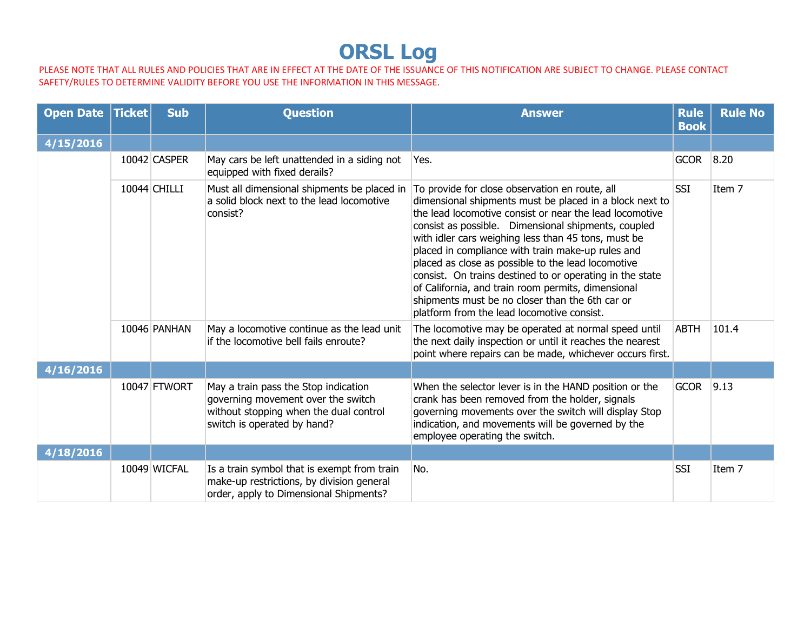## **ORSL Log**

PLEASE NOTE THAT ALL RULES AND POLICIES THAT ARE IN EFFECT AT THE DATE OF THE ISSUANCE OF THIS NOTIFICATION ARE SUBJECT TO CHANGE. PLEASE CONTACT SAFETY/RULES TO DETERMINE VALIDITY BEFORE YOU USE THE INFORMATION IN THIS MESSAGE.

| Open Date   Ticket | <b>Sub</b>   | <b>Question</b>                                                                                                                                     | <b>Answer</b>                                                                                                                                                                                                                                                                                                                                                                                                                                                                                                                                                                                                    | <b>Rule</b><br><b>Book</b> | <b>Rule No</b> |
|--------------------|--------------|-----------------------------------------------------------------------------------------------------------------------------------------------------|------------------------------------------------------------------------------------------------------------------------------------------------------------------------------------------------------------------------------------------------------------------------------------------------------------------------------------------------------------------------------------------------------------------------------------------------------------------------------------------------------------------------------------------------------------------------------------------------------------------|----------------------------|----------------|
| 4/15/2016          |              |                                                                                                                                                     |                                                                                                                                                                                                                                                                                                                                                                                                                                                                                                                                                                                                                  |                            |                |
|                    | 10042 CASPER | May cars be left unattended in a siding not<br>equipped with fixed derails?                                                                         | Yes.                                                                                                                                                                                                                                                                                                                                                                                                                                                                                                                                                                                                             | <b>GCOR</b>                | 8.20           |
|                    | 10044 CHILLI | Must all dimensional shipments be placed in<br>a solid block next to the lead locomotive<br>consist?                                                | To provide for close observation en route, all<br>dimensional shipments must be placed in a block next to<br>the lead locomotive consist or near the lead locomotive<br>consist as possible. Dimensional shipments, coupled<br>with idler cars weighing less than 45 tons, must be<br>placed in compliance with train make-up rules and<br>placed as close as possible to the lead locomotive<br>consist. On trains destined to or operating in the state<br>of California, and train room permits, dimensional<br>shipments must be no closer than the 6th car or<br>platform from the lead locomotive consist. | <b>SSI</b>                 | Item 7         |
|                    | 10046 PANHAN | May a locomotive continue as the lead unit<br>if the locomotive bell fails enroute?                                                                 | The locomotive may be operated at normal speed until<br>the next daily inspection or until it reaches the nearest<br>point where repairs can be made, whichever occurs first.                                                                                                                                                                                                                                                                                                                                                                                                                                    | <b>ABTH</b>                | 101.4          |
| 4/16/2016          |              |                                                                                                                                                     |                                                                                                                                                                                                                                                                                                                                                                                                                                                                                                                                                                                                                  |                            |                |
|                    | 10047 FTWORT | May a train pass the Stop indication<br>governing movement over the switch<br>without stopping when the dual control<br>switch is operated by hand? | When the selector lever is in the HAND position or the<br>crank has been removed from the holder, signals<br>governing movements over the switch will display Stop<br>indication, and movements will be governed by the<br>employee operating the switch.                                                                                                                                                                                                                                                                                                                                                        | <b>GCOR</b>                | 9.13           |
| 4/18/2016          |              |                                                                                                                                                     |                                                                                                                                                                                                                                                                                                                                                                                                                                                                                                                                                                                                                  |                            |                |
|                    | 10049 WICFAL | Is a train symbol that is exempt from train<br>make-up restrictions, by division general<br>order, apply to Dimensional Shipments?                  | No.                                                                                                                                                                                                                                                                                                                                                                                                                                                                                                                                                                                                              | <b>SSI</b>                 | Item 7         |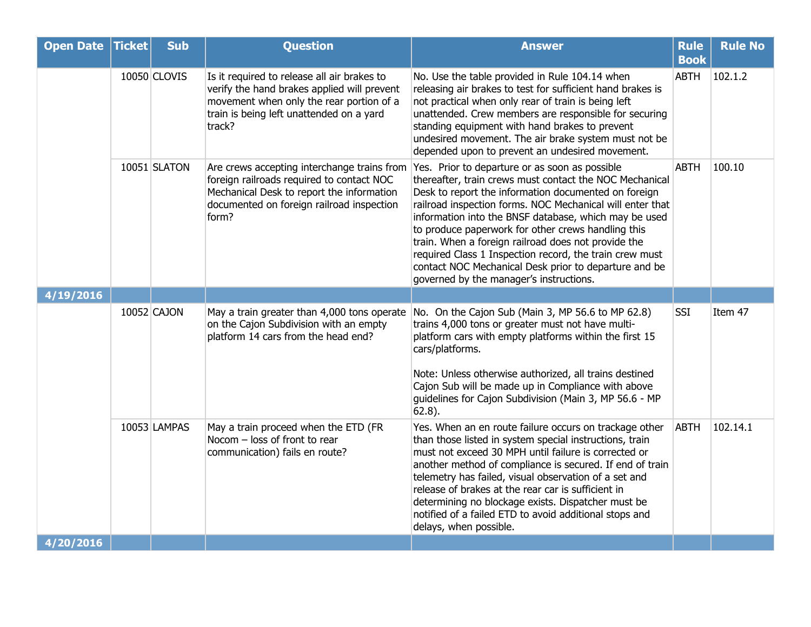| <b>Open Date Ticket</b> | <b>Sub</b>   | <b>Question</b>                                                                                                                                                                              | <b>Answer</b>                                                                                                                                                                                                                                                                                                                                                                                                                                                                                                                                                       | <b>Rule</b><br><b>Book</b> | <b>Rule No</b> |
|-------------------------|--------------|----------------------------------------------------------------------------------------------------------------------------------------------------------------------------------------------|---------------------------------------------------------------------------------------------------------------------------------------------------------------------------------------------------------------------------------------------------------------------------------------------------------------------------------------------------------------------------------------------------------------------------------------------------------------------------------------------------------------------------------------------------------------------|----------------------------|----------------|
|                         | 10050 CLOVIS | Is it required to release all air brakes to<br>verify the hand brakes applied will prevent<br>movement when only the rear portion of a<br>train is being left unattended on a yard<br>track? | No. Use the table provided in Rule 104.14 when<br>releasing air brakes to test for sufficient hand brakes is<br>not practical when only rear of train is being left<br>unattended. Crew members are responsible for securing<br>standing equipment with hand brakes to prevent<br>undesired movement. The air brake system must not be<br>depended upon to prevent an undesired movement.                                                                                                                                                                           | <b>ABTH</b>                | 102.1.2        |
|                         | 10051 SLATON | Are crews accepting interchange trains from<br>foreign railroads required to contact NOC<br>Mechanical Desk to report the information<br>documented on foreign railroad inspection<br>form?  | Yes. Prior to departure or as soon as possible<br>thereafter, train crews must contact the NOC Mechanical<br>Desk to report the information documented on foreign<br>railroad inspection forms. NOC Mechanical will enter that<br>information into the BNSF database, which may be used<br>to produce paperwork for other crews handling this<br>train. When a foreign railroad does not provide the<br>required Class 1 Inspection record, the train crew must<br>contact NOC Mechanical Desk prior to departure and be<br>governed by the manager's instructions. | <b>ABTH</b>                | 100.10         |
| 4/19/2016               |              |                                                                                                                                                                                              |                                                                                                                                                                                                                                                                                                                                                                                                                                                                                                                                                                     |                            |                |
|                         | 10052 CAJON  | May a train greater than 4,000 tons operate<br>on the Cajon Subdivision with an empty<br>platform 14 cars from the head end?                                                                 | No. On the Cajon Sub (Main 3, MP 56.6 to MP 62.8)<br>trains 4,000 tons or greater must not have multi-<br>platform cars with empty platforms within the first 15<br>cars/platforms.<br>Note: Unless otherwise authorized, all trains destined<br>Cajon Sub will be made up in Compliance with above<br>guidelines for Cajon Subdivision (Main 3, MP 56.6 - MP<br>$62.8$ ).                                                                                                                                                                                          | <b>SSI</b>                 | Item 47        |
|                         | 10053 LAMPAS | May a train proceed when the ETD (FR<br>Nocom - loss of front to rear<br>communication) fails en route?                                                                                      | Yes. When an en route failure occurs on trackage other<br>than those listed in system special instructions, train<br>must not exceed 30 MPH until failure is corrected or<br>another method of compliance is secured. If end of train<br>telemetry has failed, visual observation of a set and<br>release of brakes at the rear car is sufficient in<br>determining no blockage exists. Dispatcher must be<br>notified of a failed ETD to avoid additional stops and<br>delays, when possible.                                                                      | <b>ABTH</b>                | 102.14.1       |
| 4/20/2016               |              |                                                                                                                                                                                              |                                                                                                                                                                                                                                                                                                                                                                                                                                                                                                                                                                     |                            |                |